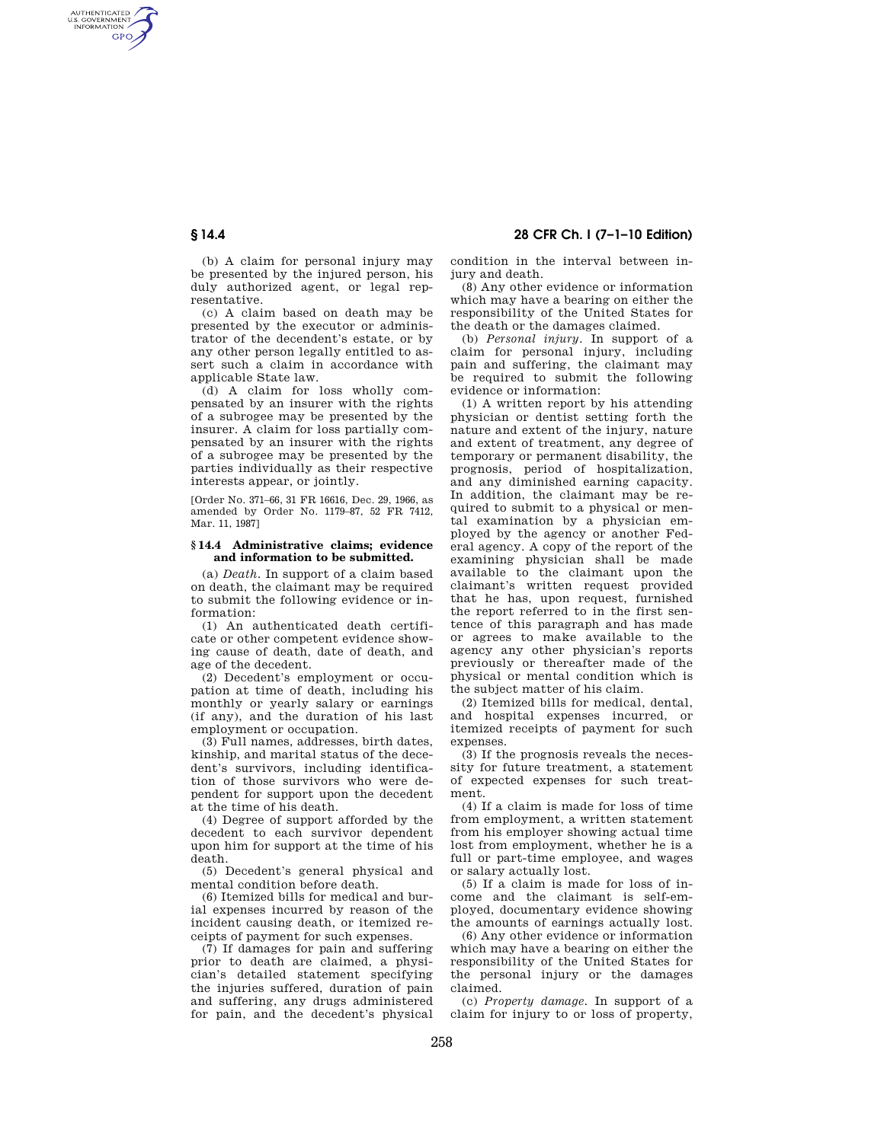AUTHENTICATED<br>U.S. GOVERNMENT<br>INFORMATION **GPO** 

**§ 14.4 28 CFR Ch. I (7–1–10 Edition)** 

(b) A claim for personal injury may be presented by the injured person, his duly authorized agent, or legal representative.

(c) A claim based on death may be presented by the executor or administrator of the decendent's estate, or by any other person legally entitled to assert such a claim in accordance with applicable State law.

(d) A claim for loss wholly compensated by an insurer with the rights of a subrogee may be presented by the insurer. A claim for loss partially compensated by an insurer with the rights of a subrogee may be presented by the parties individually as their respective interests appear, or jointly.

[Order No. 371–66, 31 FR 16616, Dec. 29, 1966, as amended by Order No. 1179–87, 52 FR 7412, Mar. 11, 1987]

### **§ 14.4 Administrative claims; evidence and information to be submitted.**

(a) *Death.* In support of a claim based on death, the claimant may be required to submit the following evidence or information:

(1) An authenticated death certificate or other competent evidence showing cause of death, date of death, and age of the decedent.

(2) Decedent's employment or occupation at time of death, including his monthly or yearly salary or earnings (if any), and the duration of his last employment or occupation.

(3) Full names, addresses, birth dates, kinship, and marital status of the decedent's survivors, including identification of those survivors who were dependent for support upon the decedent at the time of his death.

(4) Degree of support afforded by the decedent to each survivor dependent upon him for support at the time of his death.

(5) Decedent's general physical and mental condition before death.

(6) Itemized bills for medical and burial expenses incurred by reason of the incident causing death, or itemized receipts of payment for such expenses.

(7) If damages for pain and suffering prior to death are claimed, a physician's detailed statement specifying the injuries suffered, duration of pain and suffering, any drugs administered for pain, and the decedent's physical condition in the interval between injury and death.

(8) Any other evidence or information which may have a bearing on either the responsibility of the United States for the death or the damages claimed.

(b) *Personal injury.* In support of a claim for personal injury, including pain and suffering, the claimant may be required to submit the following evidence or information:

(1) A written report by his attending physician or dentist setting forth the nature and extent of the injury, nature and extent of treatment, any degree of temporary or permanent disability, the prognosis, period of hospitalization, and any diminished earning capacity. In addition, the claimant may be required to submit to a physical or mental examination by a physician employed by the agency or another Federal agency. A copy of the report of the examining physician shall be made available to the claimant upon the claimant's written request provided that he has, upon request, furnished the report referred to in the first sentence of this paragraph and has made or agrees to make available to the agency any other physician's reports previously or thereafter made of the physical or mental condition which is the subject matter of his claim.

(2) Itemized bills for medical, dental, and hospital expenses incurred, or itemized receipts of payment for such expenses.

(3) If the prognosis reveals the necessity for future treatment, a statement of expected expenses for such treatment.

(4) If a claim is made for loss of time from employment, a written statement from his employer showing actual time lost from employment, whether he is a full or part-time employee, and wages or salary actually lost.

(5) If a claim is made for loss of income and the claimant is self-employed, documentary evidence showing the amounts of earnings actually lost.

(6) Any other evidence or information which may have a bearing on either the responsibility of the United States for the personal injury or the damages claimed.

(c) *Property damage.* In support of a claim for injury to or loss of property,